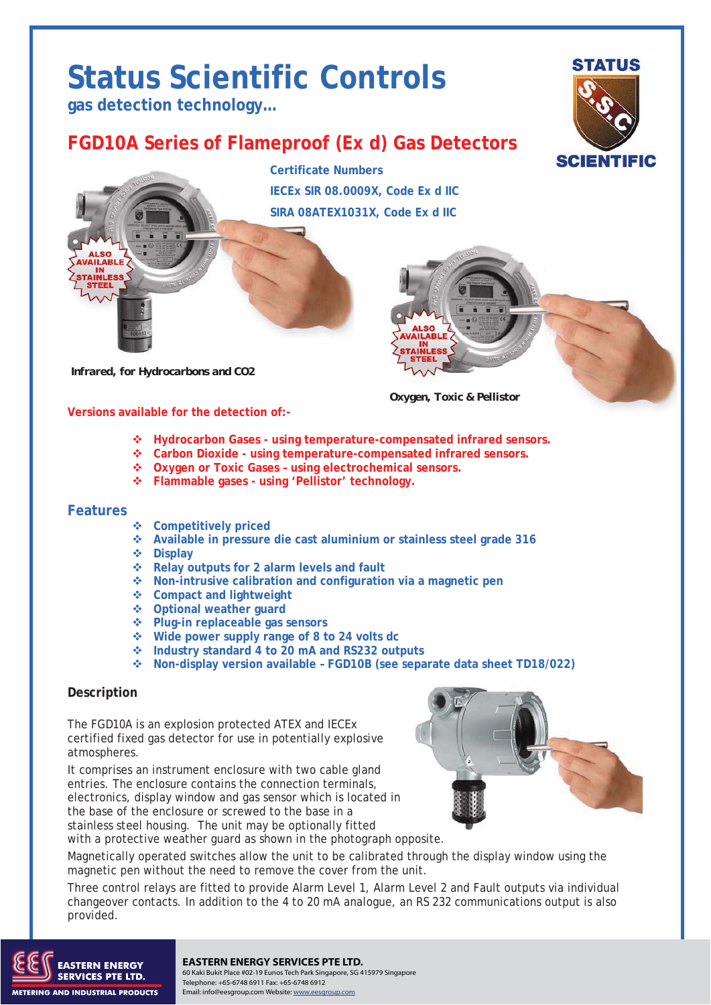# **Status Scientific Controls**

**gas detection technology…** 

## **FGD10A Series of Flameproof (Ex d) Gas Detectors**



**Certificate Numbers IECEx SIR 08.0009X, Code Ex d IIC SIRA 08ATEX1031X, Code Ex d IIC** 



**Versions available for the detection of:-** 

 *Oxygen, Toxic & Pellistor* 

- **Hydrocarbon Gases using temperature-compensated infrared sensors.**
- **Carbon Dioxide using temperature-compensated infrared sensors.**
- **Oxygen or Toxic Gases using electrochemical sensors.**
- **Flammable gases using 'Pellistor' technology.**

#### **Features**

- **Competitively priced**
- **Available in pressure die cast aluminium or stainless steel grade 316**
- **Display**
- **Relay outputs for 2 alarm levels and fault**
- **Non-intrusive calibration and configuration via a magnetic pen**
- **Compact and lightweight**
- **Optional weather guard**
- **Plug-in replaceable gas sensors**
- **Wide power supply range of 8 to 24 volts dc**
- **Industry standard 4 to 20 mA and RS232 outputs**
- **Non-display version available FGD10B (see separate data sheet TD18/022)**

#### **Description**

The FGD10A is an explosion protected ATEX and IECEx certified fixed gas detector for use in potentially explosive atmospheres.

It comprises an instrument enclosure with two cable gland entries. The enclosure contains the connection terminals, electronics, display window and gas sensor which is located in the base of the enclosure or screwed to the base in a stainless steel housing. The unit may be optionally fitted with a protective weather guard as shown in the photograph opposite.



Magnetically operated switches allow the unit to be calibrated through the display window using the magnetic pen without the need to remove the cover from the unit.

Three control relays are fitted to provide Alarm Level 1, Alarm Level 2 and Fault outputs via individual changeover contacts. In addition to the 4 to 20 mA analogue, an RS 232 communications output is also provided.



#### **EASTERN ENERGY SERVICES PTE LTD.**

TO THE TO THE TOTAL TO BE A GOT A GOT A GOT A GOT A GOT A GOT A GOT A GOT A GOT A GOT A GOT A GOT A GOT A GOT A<br>A got a got a got a got a got a got a got a got a got a got a got a got a got a got a got a got a got a got a Telephone: +65-6748 6911 Fax: +65-6748 6912 Email: info@eesgroup.com Website: www.eesgroup.com